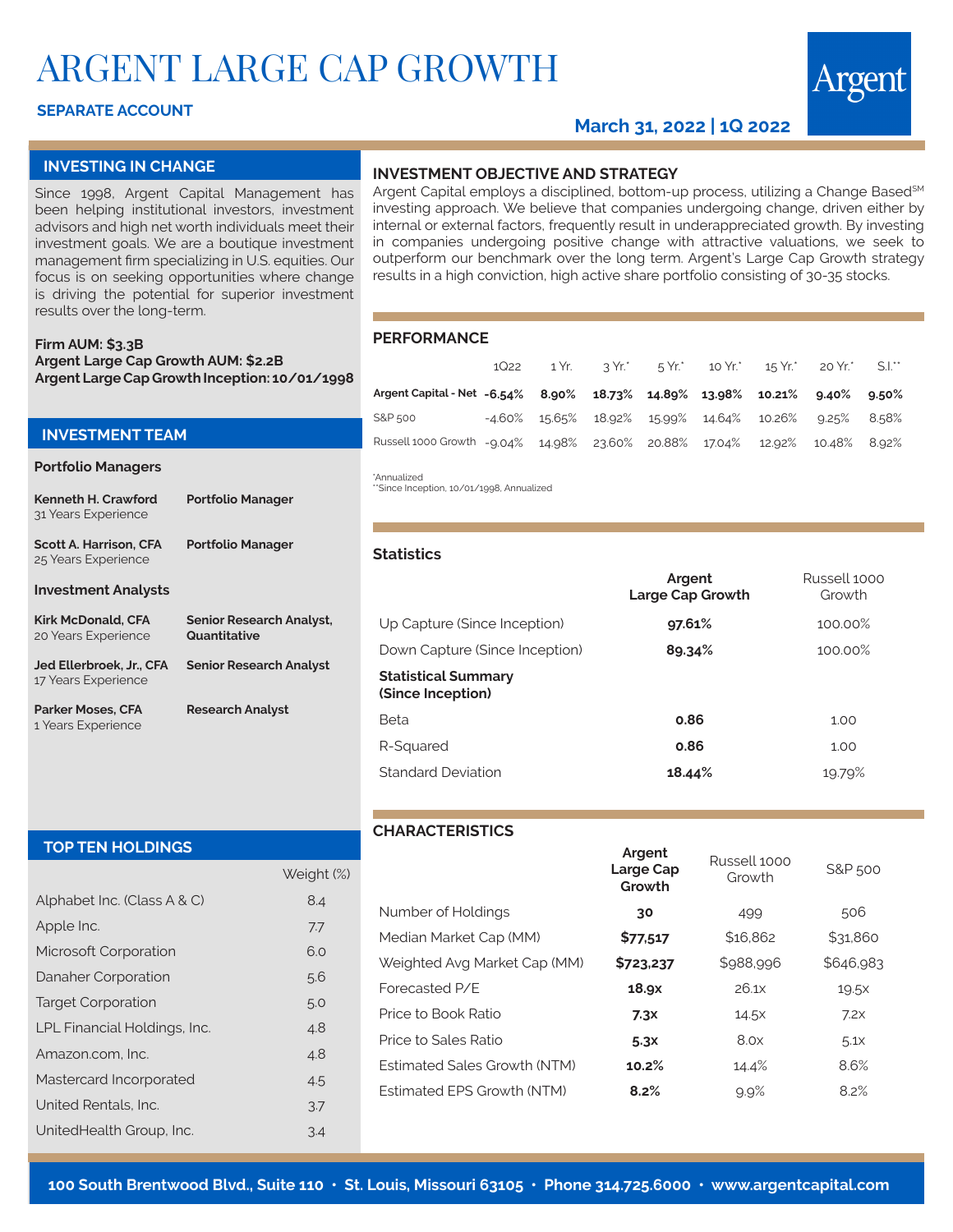# ARGENT LARGE CAP GROWTH

# **SEPARATE ACCOUNT**

# **March 31, 2022 | 1Q 2022**

#### **INVESTING IN CHANGE**

Since 1998, Argent Capital Management has been helping institutional investors, investment advisors and high net worth individuals meet their investment goals. We are a boutique investment management firm specializing in U.S. equities. Our focus is on seeking opportunities where change is driving the potential for superior investment results over the long-term.

#### **Firm AUM: \$3.3B Argent Large Cap Growth AUM: \$2.2B Argent Large Cap Growth Inception: 10/01/1998**

### **INVESTMENT TEAM**

#### **Portfolio Managers**

1 Years Experience

| Kenneth H. Crawford<br>31 Years Experience           | <b>Portfolio Manager</b>                        |
|------------------------------------------------------|-------------------------------------------------|
| <b>Scott A. Harrison, CFA</b><br>25 Years Experience | <b>Portfolio Manager</b>                        |
| <b>Investment Analysts</b>                           |                                                 |
| <b>Kirk McDonald, CFA</b><br>20 Years Experience     | <b>Senior Research Analyst,</b><br>Quantitative |
| Jed Ellerbroek. Jr CFA<br>17 Years Experience        | <b>Senior Research Analyst</b>                  |
| Parker Moses, CFA                                    | <b>Research Analyst</b>                         |

### **INVESTMENT OBJECTIVE AND STRATEGY**

Argent Capital employs a disciplined, bottom-up process, utilizing a Change Based<sup>SM</sup> investing approach. We believe that companies undergoing change, driven either by internal or external factors, frequently result in underappreciated growth. By investing in companies undergoing positive change with attractive valuations, we seek to outperform our benchmark over the long term. Argent's Large Cap Growth strategy results in a high conviction, high active share portfolio consisting of 30-35 stocks.

#### **PERFORMANCE**

|                                                                            |  |  |  | 1Q22 1 Yr. 3 Yr. 5 Yr. 10 Yr. 15 Yr. 20 Yr. S.I.         |  |
|----------------------------------------------------------------------------|--|--|--|----------------------------------------------------------|--|
| Argent Capital - Net - 6.54% 8.90% 18.73% 14.89% 13.98% 10.21% 9.40% 9.50% |  |  |  |                                                          |  |
| S&P 500                                                                    |  |  |  | $-4.60\%$ 15.65% 18.92% 15.99% 14.64% 10.26% 9.25% 8.58% |  |
| Russell 1000 Growth -9.04% 14.98% 23.60% 20.88% 17.04% 12.92% 10.48% 8.92% |  |  |  |                                                          |  |

## \*Annualized

\*\*Since Inception, 10/01/1998, Annualized

#### **Statistics**

|                                                 | Argent<br>Large Cap Growth | Russell 1000<br>Growth |
|-------------------------------------------------|----------------------------|------------------------|
| Up Capture (Since Inception)                    | $97.61\%$                  | 100.00%                |
| Down Capture (Since Inception)                  | 89.34%                     | 100.00%                |
| <b>Statistical Summary</b><br>(Since Inception) |                            |                        |
| Beta                                            | 0.86                       | 1.00                   |
| R-Squared                                       | 0.86                       | 1.00                   |
| <b>Standard Deviation</b>                       | 18.44%                     | 19.79%                 |

#### **TOP TEN HOLDINGS**

|                              | Weight (%) |
|------------------------------|------------|
| Alphabet Inc. (Class A & C)  | 8.4        |
| Apple Inc.                   | 7.7        |
| Microsoft Corporation        | 6.0        |
| Danaher Corporation          | 5.6        |
| <b>Target Corporation</b>    | 5.0        |
| LPL Financial Holdings, Inc. | 4.8        |
| Amazon.com. Inc.             | 4.8        |
| Mastercard Incorporated      | 4.5        |
| United Rentals, Inc.         | 3.7        |
| UnitedHealth Group, Inc.     | 3.4        |

# **CHARACTERISTICS**

|                              | <b>Algent</b><br>Large Cap<br>Growth | Russell 1000<br>Growth | S&P 500          |
|------------------------------|--------------------------------------|------------------------|------------------|
| Number of Holdings           | 30                                   | 499                    | 506              |
| Median Market Cap (MM)       | \$77,517                             | \$16,862               | \$31,860         |
| Weighted Avg Market Cap (MM) | \$723,237                            | \$988,996              | \$646,983        |
| Forecasted P/E               | 18.9x                                | 26.1x                  | 19.5x            |
| Price to Book Ratio          | 7.3x                                 | 14.5x                  | 7.2x             |
| Price to Sales Ratio         | 5.3x                                 | 8.0x                   | 5.1 <sub>X</sub> |
| Estimated Sales Growth (NTM) | 10.2%                                | 14.4%                  | 8.6%             |
| Estimated EPS Growth (NTM)   | 8.2%                                 | 9.9%                   | 8.2%             |
|                              |                                      |                        |                  |

**Argent**